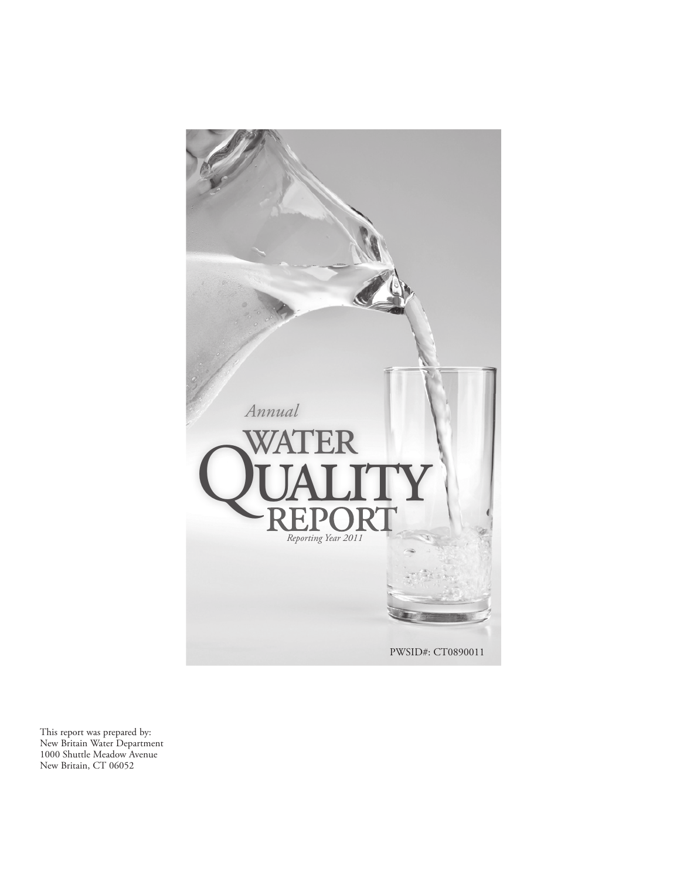

This report was prepared by: New Britain Water Department 1000 Shuttle Meadow Avenue New Britain, CT 06052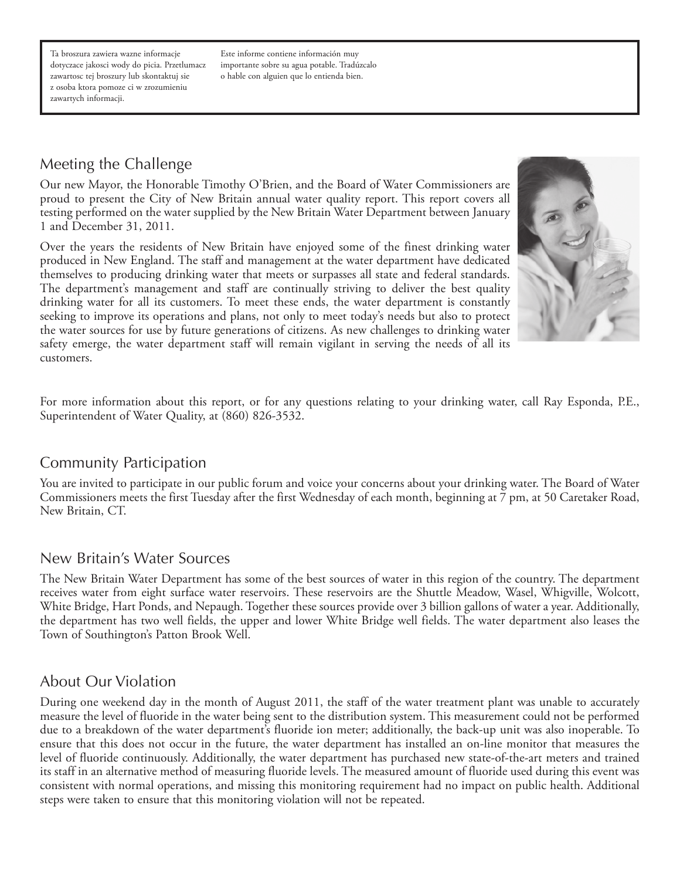Ta broszura zawiera wazne informacje dotyczace jakosci wody do picia. Przetlumacz zawartosc tej broszury lub skontaktuj sie z osoba ktora pomoze ci w zrozumieniu zawartych informacji.

Este informe contiene información muy importante sobre su agua potable. Tradúzcalo o hable con alguien que lo entienda bien.

# Meeting the Challenge

Our new Mayor, the Honorable Timothy O'Brien, and the Board of Water Commissioners are proud to present the City of New Britain annual water quality report. This report covers all testing performed on the water supplied by the New Britain Water Department between January 1 and December 31, 2011.

Over the years the residents of New Britain have enjoyed some of the finest drinking water produced in New England. The staff and management at the water department have dedicated themselves to producing drinking water that meets or surpasses all state and federal standards. The department's management and staff are continually striving to deliver the best quality drinking water for all its customers. To meet these ends, the water department is constantly seeking to improve its operations and plans, not only to meet today's needs but also to protect the water sources for use by future generations of citizens. As new challenges to drinking water safety emerge, the water department staff will remain vigilant in serving the needs of all its customers.



For more information about this report, or for any questions relating to your drinking water, call Ray Esponda, P.E., Superintendent of Water Quality, at (860) 826-3532.

### Community Participation

You are invited to participate in our public forum and voice your concerns about your drinking water. The Board of Water Commissioners meets the first Tuesday after the first Wednesday of each month, beginning at 7 pm, at 50 Caretaker Road, New Britain, CT.

#### New Britain's Water Sources

The New Britain Water Department has some of the best sources of water in this region of the country. The department receives water from eight surface water reservoirs. These reservoirs are the Shuttle Meadow, Wasel, Whigville, Wolcott, White Bridge, Hart Ponds, and Nepaugh. Together these sources provide over 3 billion gallons of water a year. Additionally, the department has two well fields, the upper and lower White Bridge well fields. The water department also leases the Town of Southington's Patton Brook Well.

#### About Our Violation

During one weekend day in the month of August 2011, the staff of the water treatment plant was unable to accurately measure the level of fluoride in the water being sent to the distribution system. This measurement could not be performed due to a breakdown of the water department's fluoride ion meter; additionally, the back-up unit was also inoperable. To ensure that this does not occur in the future, the water department has installed an on-line monitor that measures the level of fluoride continuously. Additionally, the water department has purchased new state-of-the-art meters and trained its staff in an alternative method of measuring fluoride levels. The measured amount of fluoride used during this event was consistent with normal operations, and missing this monitoring requirement had no impact on public health. Additional steps were taken to ensure that this monitoring violation will not be repeated.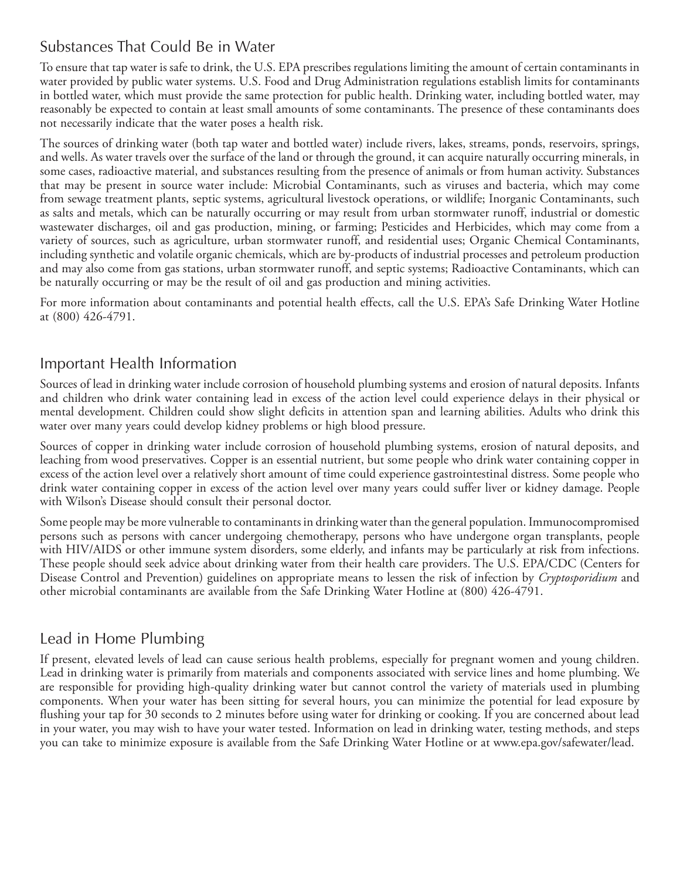# Substances That Could Be in Water

To ensure that tap water is safe to drink, the U.S. EPA prescribes regulations limiting the amount of certain contaminants in water provided by public water systems. U.S. Food and Drug Administration regulations establish limits for contaminants in bottled water, which must provide the same protection for public health. Drinking water, including bottled water, may reasonably be expected to contain at least small amounts of some contaminants. The presence of these contaminants does not necessarily indicate that the water poses a health risk.

The sources of drinking water (both tap water and bottled water) include rivers, lakes, streams, ponds, reservoirs, springs, and wells. As water travels over the surface of the land or through the ground, it can acquire naturally occurring minerals, in some cases, radioactive material, and substances resulting from the presence of animals or from human activity. Substances that may be present in source water include: Microbial Contaminants, such as viruses and bacteria, which may come from sewage treatment plants, septic systems, agricultural livestock operations, or wildlife; Inorganic Contaminants, such as salts and metals, which can be naturally occurring or may result from urban stormwater runoff, industrial or domestic wastewater discharges, oil and gas production, mining, or farming; Pesticides and Herbicides, which may come from a variety of sources, such as agriculture, urban stormwater runoff, and residential uses; Organic Chemical Contaminants, including synthetic and volatile organic chemicals, which are by-products of industrial processes and petroleum production and may also come from gas stations, urban stormwater runoff, and septic systems; Radioactive Contaminants, which can be naturally occurring or may be the result of oil and gas production and mining activities.

For more information about contaminants and potential health effects, call the U.S. EPA's Safe Drinking Water Hotline at (800) 426-4791.

### Important Health Information

Sources of lead in drinking water include corrosion of household plumbing systems and erosion of natural deposits. Infants and children who drink water containing lead in excess of the action level could experience delays in their physical or mental development. Children could show slight deficits in attention span and learning abilities. Adults who drink this water over many years could develop kidney problems or high blood pressure.

Sources of copper in drinking water include corrosion of household plumbing systems, erosion of natural deposits, and leaching from wood preservatives. Copper is an essential nutrient, but some people who drink water containing copper in excess of the action level over a relatively short amount of time could experience gastrointestinal distress. Some people who drink water containing copper in excess of the action level over many years could suffer liver or kidney damage. People with Wilson's Disease should consult their personal doctor.

Some people may be more vulnerable to contaminants in drinking water than the general population. Immunocompromised persons such as persons with cancer undergoing chemotherapy, persons who have undergone organ transplants, people with HIV/AIDS or other immune system disorders, some elderly, and infants may be particularly at risk from infections. These people should seek advice about drinking water from their health care providers. The U.S. EPA/CDC (Centers for Disease Control and Prevention) guidelines on appropriate means to lessen the risk of infection by *Cryptosporidium* and other microbial contaminants are available from the Safe Drinking Water Hotline at (800) 426-4791.

# Lead in Home Plumbing

If present, elevated levels of lead can cause serious health problems, especially for pregnant women and young children. Lead in drinking water is primarily from materials and components associated with service lines and home plumbing. We are responsible for providing high-quality drinking water but cannot control the variety of materials used in plumbing components. When your water has been sitting for several hours, you can minimize the potential for lead exposure by flushing your tap for 30 seconds to 2 minutes before using water for drinking or cooking. If you are concerned about lead in your water, you may wish to have your water tested. Information on lead in drinking water, testing methods, and steps you can take to minimize exposure is available from the Safe Drinking Water Hotline or at www.epa.gov/safewater/lead.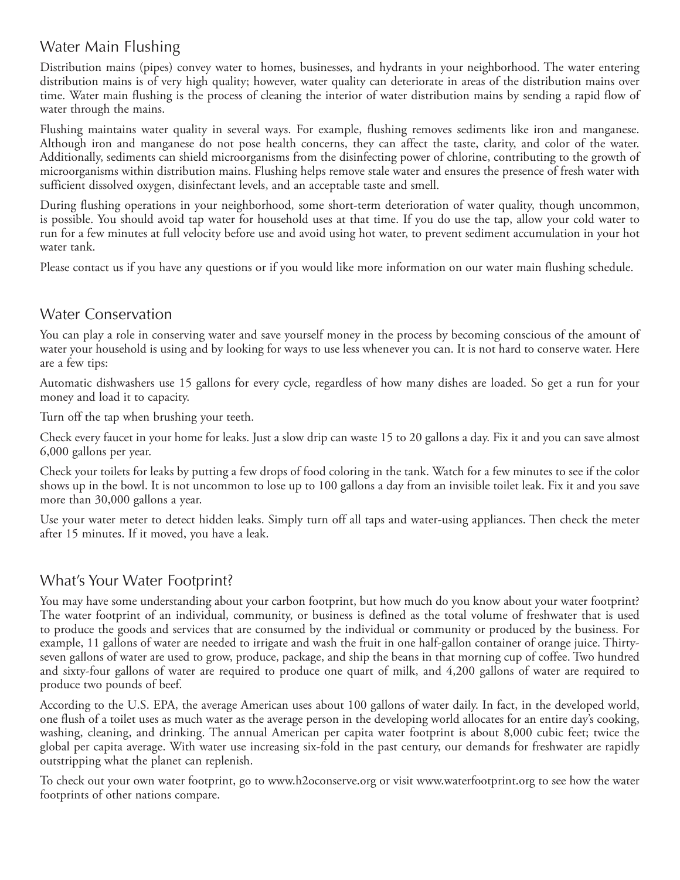# Water Main Flushing

Distribution mains (pipes) convey water to homes, businesses, and hydrants in your neighborhood. The water entering distribution mains is of very high quality; however, water quality can deteriorate in areas of the distribution mains over time. Water main flushing is the process of cleaning the interior of water distribution mains by sending a rapid flow of water through the mains.

Flushing maintains water quality in several ways. For example, flushing removes sediments like iron and manganese. Although iron and manganese do not pose health concerns, they can affect the taste, clarity, and color of the water. Additionally, sediments can shield microorganisms from the disinfecting power of chlorine, contributing to the growth of microorganisms within distribution mains. Flushing helps remove stale water and ensures the presence of fresh water with sufficient dissolved oxygen, disinfectant levels, and an acceptable taste and smell.

During flushing operations in your neighborhood, some short-term deterioration of water quality, though uncommon, is possible. You should avoid tap water for household uses at that time. If you do use the tap, allow your cold water to run for a few minutes at full velocity before use and avoid using hot water, to prevent sediment accumulation in your hot water tank.

Please contact us if you have any questions or if you would like more information on our water main flushing schedule.

### Water Conservation

You can play a role in conserving water and save yourself money in the process by becoming conscious of the amount of water your household is using and by looking for ways to use less whenever you can. It is not hard to conserve water. Here are a few tips:

Automatic dishwashers use 15 gallons for every cycle, regardless of how many dishes are loaded. So get a run for your money and load it to capacity.

Turn off the tap when brushing your teeth.

Check every faucet in your home for leaks. Just a slow drip can waste 15 to 20 gallons a day. Fix it and you can save almost 6,000 gallons per year.

Check your toilets for leaks by putting a few drops of food coloring in the tank. Watch for a few minutes to see if the color shows up in the bowl. It is not uncommon to lose up to 100 gallons a day from an invisible toilet leak. Fix it and you save more than 30,000 gallons a year.

Use your water meter to detect hidden leaks. Simply turn off all taps and water-using appliances. Then check the meter after 15 minutes. If it moved, you have a leak.

### What's Your Water Footprint?

You may have some understanding about your carbon footprint, but how much do you know about your water footprint? The water footprint of an individual, community, or business is defined as the total volume of freshwater that is used to produce the goods and services that are consumed by the individual or community or produced by the business. For example, 11 gallons of water are needed to irrigate and wash the fruit in one half-gallon container of orange juice. Thirtyseven gallons of water are used to grow, produce, package, and ship the beans in that morning cup of coffee. Two hundred and sixty-four gallons of water are required to produce one quart of milk, and 4,200 gallons of water are required to produce two pounds of beef.

According to the U.S. EPA, the average American uses about 100 gallons of water daily. In fact, in the developed world, one flush of a toilet uses as much water as the average person in the developing world allocates for an entire day's cooking, washing, cleaning, and drinking. The annual American per capita water footprint is about 8,000 cubic feet; twice the global per capita average. With water use increasing six-fold in the past century, our demands for freshwater are rapidly outstripping what the planet can replenish.

To check out your own water footprint, go to www.h2oconserve.org or visit www.waterfootprint.org to see how the water footprints of other nations compare.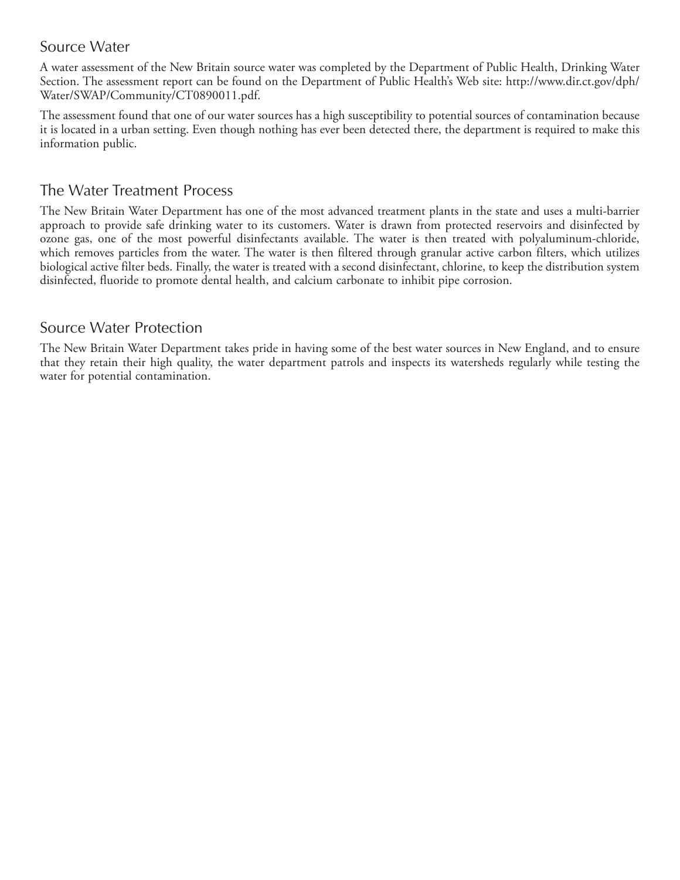### Source Water

A water assessment of the New Britain source water was completed by the Department of Public Health, Drinking Water Section. The assessment report can be found on the Department of Public Health's Web site: http://www.dir.ct.gov/dph/ Water/SWAP/Community/CT0890011.pdf.

The assessment found that one of our water sources has a high susceptibility to potential sources of contamination because it is located in a urban setting. Even though nothing has ever been detected there, the department is required to make this information public.

### The Water Treatment Process

The New Britain Water Department has one of the most advanced treatment plants in the state and uses a multi-barrier approach to provide safe drinking water to its customers. Water is drawn from protected reservoirs and disinfected by ozone gas, one of the most powerful disinfectants available. The water is then treated with polyaluminum-chloride, which removes particles from the water. The water is then filtered through granular active carbon filters, which utilizes biological active filter beds. Finally, the water is treated with a second disinfectant, chlorine, to keep the distribution system disinfected, fluoride to promote dental health, and calcium carbonate to inhibit pipe corrosion.

#### Source Water Protection

The New Britain Water Department takes pride in having some of the best water sources in New England, and to ensure that they retain their high quality, the water department patrols and inspects its watersheds regularly while testing the water for potential contamination.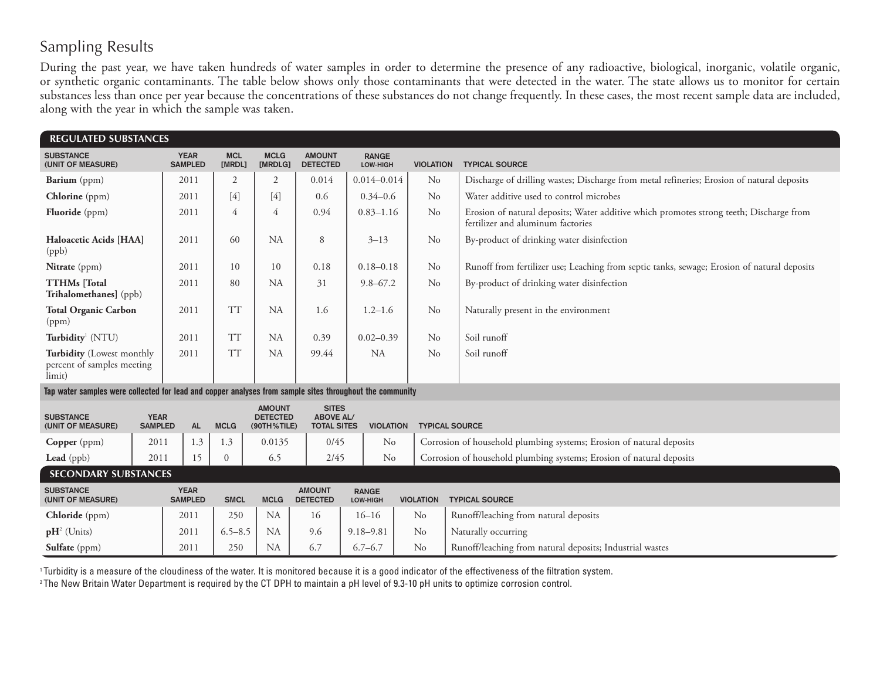# Sampling Results

During the past year, we have taken hundreds of water samples in order to determine the presence of any radioactive, biological, inorganic, volatile organic, or synthetic organic contaminants. The table below shows only those contaminants that were detected in the water. The state allows us to monitor for certain substances less than once per year because the concentrations of these substances do not change frequently. In these cases, the most recent sample data are included, along with the year in which the sample was taken.

| <b>REGULATED SUBSTANCES</b>                                                                              |                               |                               |                      |  |                                                 |                                                        |                          |                       |                                                                                                                              |  |
|----------------------------------------------------------------------------------------------------------|-------------------------------|-------------------------------|----------------------|--|-------------------------------------------------|--------------------------------------------------------|--------------------------|-----------------------|------------------------------------------------------------------------------------------------------------------------------|--|
| <b>SUBSTANCE</b><br>(UNIT OF MEASURE)                                                                    |                               | <b>YEAR</b><br><b>SAMPLED</b> | <b>MCL</b><br>[MRDL] |  | <b>MCLG</b><br>[MRDLG]                          | <b>AMOUNT</b><br><b>DETECTED</b>                       | <b>RANGE</b><br>LOW-HIGH | <b>VIOLATION</b>      | <b>TYPICAL SOURCE</b>                                                                                                        |  |
| Barium (ppm)                                                                                             |                               | 2011                          | 2                    |  | $\overline{2}$                                  | 0.014                                                  | $0.014 - 0.014$          | $\rm No$              | Discharge of drilling wastes; Discharge from metal refineries; Erosion of natural deposits                                   |  |
| <b>Chlorine</b> (ppm)                                                                                    |                               | 2011                          | [4]                  |  | $[4]$                                           | 0.6                                                    | $0.34 - 0.6$             | No                    | Water additive used to control microbes                                                                                      |  |
| <b>Fluoride</b> (ppm)                                                                                    |                               | 2011                          | 4                    |  | 4                                               | 0.94                                                   | $0.83 - 1.16$            | N <sub>o</sub>        | Erosion of natural deposits; Water additive which promotes strong teeth; Discharge from<br>fertilizer and aluminum factories |  |
| Haloacetic Acids [HAA]<br>(ppb)                                                                          |                               | 2011                          | 60                   |  | <b>NA</b>                                       | 8                                                      | $3 - 13$                 | N <sub>o</sub>        | By-product of drinking water disinfection                                                                                    |  |
| Nitrate (ppm)                                                                                            |                               | 2011                          | 10                   |  | 10                                              | 0.18                                                   | $0.18 - 0.18$            | No                    | Runoff from fertilizer use; Leaching from septic tanks, sewage; Erosion of natural deposits                                  |  |
| <b>TTHMs</b> [Total<br>Trihalomethanes] (ppb)                                                            |                               | 2011                          | 80                   |  | <b>NA</b>                                       | 31                                                     | $9.8 - 67.2$             | N <sub>o</sub>        | By-product of drinking water disinfection                                                                                    |  |
| <b>Total Organic Carbon</b><br>(ppm)                                                                     |                               | 2011                          | <b>TT</b>            |  | <b>NA</b>                                       | 1.6                                                    | $1.2 - 1.6$              | N <sub>o</sub>        | Naturally present in the environment                                                                                         |  |
| Turbidity <sup>1</sup> (NTU)                                                                             |                               | 2011                          | <b>TT</b>            |  | <b>NA</b>                                       | 0.39                                                   | $0.02 - 0.39$            | N <sub>o</sub>        | Soil runoff                                                                                                                  |  |
| Turbidity (Lowest monthly<br>percent of samples meeting<br>limit)                                        |                               | 2011                          | <b>TT</b>            |  | <b>NA</b>                                       | 99.44                                                  | <b>NA</b>                | N <sub>o</sub>        | Soil runoff                                                                                                                  |  |
| Tap water samples were collected for lead and copper analyses from sample sites throughout the community |                               |                               |                      |  |                                                 |                                                        |                          |                       |                                                                                                                              |  |
| <b>SUBSTANCE</b><br>(UNIT OF MEASURE)                                                                    | <b>YEAR</b><br><b>SAMPLED</b> | <b>AL</b>                     | <b>MCLG</b>          |  | <b>AMOUNT</b><br><b>DETECTED</b><br>(90TH%TILE) | <b>SITES</b><br><b>ABOVE AL/</b><br><b>TOTAL SITES</b> | <b>VIOLATION</b>         | <b>TYPICAL SOURCE</b> |                                                                                                                              |  |
| <b>Copper</b> (ppm)                                                                                      | 2011                          | 1.3                           | 1.3                  |  | 0.0135                                          | 0/45                                                   | No                       |                       | Corrosion of household plumbing systems; Erosion of natural deposits                                                         |  |
| Lead (ppb)                                                                                               | 2011                          | 15                            | $\overline{0}$       |  | 6.5                                             | 2/45                                                   | No                       |                       | Corrosion of household plumbing systems; Erosion of natural deposits                                                         |  |

| <b>SECONDARY SUBSTANCES</b>           |                               |             |             |                                  |                                 |                  |                                                          |  |  |  |  |  |
|---------------------------------------|-------------------------------|-------------|-------------|----------------------------------|---------------------------------|------------------|----------------------------------------------------------|--|--|--|--|--|
| <b>SUBSTANCE</b><br>(UNIT OF MEASURE) | <b>YEAR</b><br><b>SAMPLED</b> | <b>SMCL</b> | <b>MCLG</b> | <b>AMOUNT</b><br><b>DETECTED</b> | <b>RANGE</b><br><b>LOW-HIGH</b> | <b>VIOLATION</b> | <b>TYPICAL SOURCE</b>                                    |  |  |  |  |  |
| <b>Chloride</b> (ppm)                 | 2011                          | 250         | <b>NA</b>   | 16                               | 16–16                           | $\rm No$         | Runoff/leaching from natural deposits                    |  |  |  |  |  |
| $\mathbf{p}H^2$ (Units)               | 2011                          | $6.5 - 8.5$ | <b>NA</b>   | 9.6                              | $9.18 - 9.81$                   | No               | Naturally occurring                                      |  |  |  |  |  |
| Sulfate (ppm)                         | 2011                          | 250         | <b>NA</b>   | 6.7                              | $6.7 - 6.7$                     | No               | Runoff/leaching from natural deposits; Industrial wastes |  |  |  |  |  |

1 Turbidity is a measure of the cloudiness of the water. It is monitored because it is a good indicator of the effectiveness of the filtration system.

<sup>2</sup>The New Britain Water Department is required by the CT DPH to maintain a pH level of 9.3-10 pH units to optimize corrosion control.